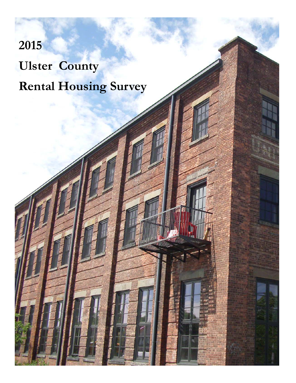# **2015 Ulster County Rental Housing Survey**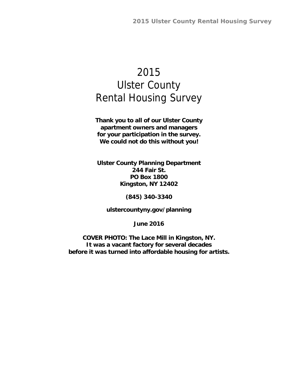# 2015 Ulster County Rental Housing Survey

**Thank you to all of our Ulster County apartment owners and managers for your participation in the survey. We could not do this without you!** 

**Ulster County Planning Department 244 Fair St. PO Box 1800 Kingston, NY 12402** 

**(845) 340-3340** 

**ulstercountyny.gov/planning** 

**June 2016** 

**COVER PHOTO: The Lace Mill in Kingston, NY. It was a vacant factory for several decades before it was turned into affordable housing for artists.**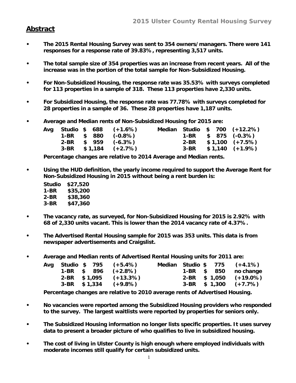#### **Abstract**

- **The 2015 Rental Housing Survey was sent to 354 owners/managers. There were 141 responses for a response rate of 39.83%, representing 3,517 units.**
- **The total sample size of 354 properties was an increase from recent years. All of the increase was in the portion of the total sample for Non-Subsidized Housing.**
- **For Non-Subsidized Housing, the response rate was 35.53% with surveys completed for 113 properties in a sample of 318. These 113 properties have 2,330 units.**
- **For Subsidized Housing, the response rate was 77.78% with surveys completed for 28 properties in a sample of 36. These 28 properties have 1,187 units.**
- **Average and Median rents of Non-Subsidized Housing for 2015 are:**

|  |  | Avg Studio \$ 688 (+1.6%) |  |  | Median Studio \$ 700 (+12.2%) |
|--|--|---------------------------|--|--|-------------------------------|
|  |  | $1-BR$ \$ 880 $(-0.8\%)$  |  |  | $1-BR$ \$ 875 (-0.3%)         |
|  |  | $2-BR$ \$ 959 (-6.3%)     |  |  | $2-BR$ \$1,100 (+7.5%)        |
|  |  | $3-BR$ \$1,184 (+2.7%)    |  |  | $3-BR$ \$1,140 $(+1.9\%)$     |

**Percentage changes are relative to 2014 Average and Median rents.** 

**• Using the HUD definition, the yearly income required to support the Average Rent for Non-Subsidized Housing in 2015 without being a rent burden is:** 

| Studio | \$27,520 |
|--------|----------|
| 1-BR   | \$35,200 |
| 2-BR   | \$38,360 |
| 3-BR   | \$47,360 |

- **The vacancy rate, as surveyed, for Non-Subsidized Housing for 2015 is 2.92% with 68 of 2,330 units vacant. This is lower than the 2014 vacancy rate of 4.37%.**
- **The Advertised Rental Housing sample for 2015 was 353 units. This data is from newspaper advertisements and Craigslist.**
- **Average and Median rents of Advertised Rental Housing units for 2011 are:**

|  |  | Avg Studio \$ 795 (+5.4%) |  |  | Median Studio \$ 775 (+4.1%) |
|--|--|---------------------------|--|--|------------------------------|
|  |  | $1-BR$ \$ 896 $(+2.8\%)$  |  |  | 1-BR \$ 850 no change        |
|  |  | $2-BR$ \$1,095 (+13.3%)   |  |  | $2-BR$ \$ 1,050 (+19.0%)     |
|  |  | $3-BR$ \$1,334 (+9.8%)    |  |  | $3-BR$ \$ 1,300 (+7.7%)      |

**Percentage changes are relative to 2010 average rents of Advertised Housing.** 

- **No vacancies were reported among the Subsidized Housing providers who responded to the survey. The largest waitlists were reported by properties for seniors only.**
- **The Subsidized Housing information no longer lists specific properties. It uses survey data to present a broader picture of who qualifies to live in subsidized housing.**
- **The cost of living in Ulster County is high enough where employed individuals with moderate incomes still qualify for certain subsidized units.**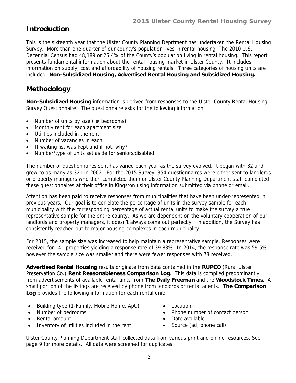# **Introduction**

This is the sixteenth year that the Ulster County Planning Deprtment has undertaken the Rental Housing Survey. More than one quarter of our county's population lives in rental housing. The 2010 U.S. Decennial Census had 48,189 or 26.4% of the County's population living in rental housing. This report presents fundamental information about the rental housing market in Ulster County. It includes information on supply, cost and affordability of housing rentals. Three categories of housing units are included: **Non-Subsidized Housing, Advertised Rental Housing and Subsidized Housing.**

#### **Methodology**

**Non-Subsidized Housing** information is derived from responses to the Ulster County Rental Housing Survey Questionnaire. The questionnaire asks for the following information:

- Number of units by size ( $#$  bedrooms)
- Monthly rent for each apartment size
- Utilities included in the rent
- Number of vacancies in each
- If waiting list was kept and if not, why?
- Number/type of units set aside for seniors/disabled

The number of questionnaires sent has varied each year as the survey evolved. It began with 32 and grew to as many as 321 in 2002. For the 2015 Survey, 354 questionnaires were either sent to landlords or property managers who then completed them or Ulster County Planning Department staff completed these questionnaires at their office in Kingston using information submitted via phone or email.

Attention has been paid to receive responses from municipalities that have been under-represented in previous years. Our goal is to correlate the percentage of units in the survey sample for each municipality with the corresponding percentage of actual rental units to make the survey a true representative sample for the entire county. As we are dependent on the voluntary cooperation of our landlords and property managers, it doesn't always come out perfectly. In addition, the Survey has consistently reached out to major housing complexes in each municipality.

For 2015, the sample size was increased to help maintain a representative sample. Responses were received for 141 properties yielding a response rate of 39.83%. In 2014, the response rate was 59.5%, however the sample size was smaller and there were fewer responses with 78 received.

**Advertised Rental Housing** results originate from data contained in the **RUPCO** (Rural Ulster Preservation Co.) **Rent Reasonableness Comparison Log**. This data is compiled predominantly from advertisements of available rental units from **The Daily Freeman** and the **Woodstock Times**. A small portion of the listings are received by phone from landlords or rental agents. **The Comparison Log** provides the following information for each rental unit:

- Building type (1-Family, Mobile Home, Apt.)
- Number of bedrooms
- Rental amount
- Inventory of utilities included in the rent
- Location
- Phone number of contact person
- Date available
- Source (ad, phone call)

Ulster County Planning Department staff collected data from various print and online resources. See page 9 for more details. All data were screened for duplicates.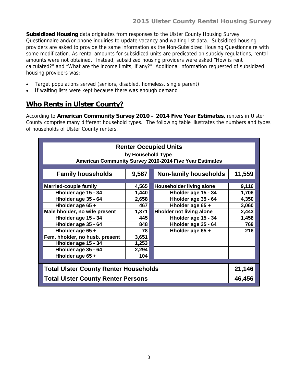**Subsidized Housing** data originates from responses to the Ulster County Housing Survey Questionnaire and/or phone inquiries to update vacancy and waiting list data. Subsidized housing providers are asked to provide the same information as the Non-Subsidized Housing Questionnaire with some modification. As rental amounts for subsidized units are predicated on subsidy regulations, rental amounts were not obtained. Instead, subsidized housing providers were asked "How is rent calculated?" and "What are the income limits, if any?" Additional information requested of subsidized housing providers was:

- Target populations served (seniors, disabled, homeless, single parent)
- If waiting lists were kept because there was enough demand

# **Who Rents in Ulster County?**

According to **American Community Survey 2010 – 2014 Five Year Estimates,** renters in Ulster County comprise many different household types. The following table illustrates the numbers and types of households of Ulster County renters.

| <b>Renter Occupied Units</b>                 |                   |                                                         |        |  |  |  |  |  |  |
|----------------------------------------------|-------------------|---------------------------------------------------------|--------|--|--|--|--|--|--|
|                                              | by Household Type |                                                         |        |  |  |  |  |  |  |
|                                              |                   | American Community Survey 2010-2014 Five Year Estimates |        |  |  |  |  |  |  |
|                                              |                   |                                                         |        |  |  |  |  |  |  |
| <b>Family households</b>                     | 9,587             | <b>Non-family households</b>                            | 11,559 |  |  |  |  |  |  |
|                                              |                   |                                                         |        |  |  |  |  |  |  |
| <b>Married-couple family</b>                 | 4,565             | Householder living alone                                | 9,116  |  |  |  |  |  |  |
| Hholder age 15 - 34                          | 1,440             | Hholder age 15 - 34                                     | 1,706  |  |  |  |  |  |  |
| Hholder age 35 - 64                          | 2,658             | Hholder age 35 - 64                                     | 4,350  |  |  |  |  |  |  |
| Hholder age 65 +                             | 467               | Hholder age 65 +                                        | 3,060  |  |  |  |  |  |  |
| Male hholder, no wife present                | 1,371             | <b>Hholder not living alone</b>                         | 2,443  |  |  |  |  |  |  |
| Hholder age 15 - 34                          | 445               | Hholder age 15 - 34                                     | 1,458  |  |  |  |  |  |  |
| Hholder age 35 - 64                          | 848               | Hholder age 35 - 64                                     | 769    |  |  |  |  |  |  |
| Hholder age 65 +                             | 78                | Hholder age 65 +                                        | 216    |  |  |  |  |  |  |
| Fem. hholder, no husb. present               | 3,651             |                                                         |        |  |  |  |  |  |  |
| Hholder age 15 - 34                          | 1,253             |                                                         |        |  |  |  |  |  |  |
| Hholder age 35 - 64                          | 2,294             |                                                         |        |  |  |  |  |  |  |
| Hholder age 65 +                             | 104               |                                                         |        |  |  |  |  |  |  |
|                                              |                   |                                                         |        |  |  |  |  |  |  |
| <b>Total Ulster County Renter Households</b> |                   |                                                         | 21,146 |  |  |  |  |  |  |
| <b>Total Ulster County Renter Persons</b>    |                   |                                                         | 46,456 |  |  |  |  |  |  |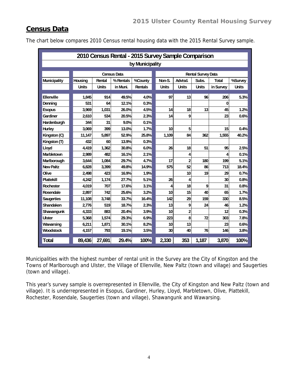### **Census Data**

|                     | 2010 Census Rental - 2015 Survey Sample Comparison |                                |                    |                |                 |                |                           |              |              |  |  |  |
|---------------------|----------------------------------------------------|--------------------------------|--------------------|----------------|-----------------|----------------|---------------------------|--------------|--------------|--|--|--|
|                     | by Municipality                                    |                                |                    |                |                 |                |                           |              |              |  |  |  |
|                     |                                                    |                                | <b>Census Data</b> |                |                 |                | <b>Rental Survey Data</b> |              |              |  |  |  |
| <b>Municipality</b> | Housing                                            | Rental<br>% Rentals<br>%County |                    |                | Non-S.          | Advtsd.        | Subs.                     | <b>Total</b> | %Survey      |  |  |  |
|                     | <b>Units</b>                                       | <b>Units</b>                   | in Muni.           | <b>Rentals</b> | <b>Units</b>    | <b>Units</b>   | <b>Units</b>              | in Survey    | <b>Units</b> |  |  |  |
|                     |                                                    |                                |                    |                |                 |                |                           |              |              |  |  |  |
| Ellenville          | 1.845                                              | 914                            | 49.5%              | 4.0%           | 97              | 13             | 96                        | 206          | 5.3%         |  |  |  |
| Denning             | 531                                                | 64                             | 12.1%              | 0.3%           |                 |                |                           | $\bf{0}$     |              |  |  |  |
| <b>Esopus</b>       | 3,969                                              | 1,031                          | 26.0%              | 4.5%           | 14              | 18             | 13                        | 45           | 1.2%         |  |  |  |
| Gardiner            | 2,610                                              | 534                            | 20.5%              | 2.3%           | 14              | 9              |                           | 23           | 0.6%         |  |  |  |
| Hardenburgh         | 344                                                | 31                             | 9.0%               | 0.1%           |                 |                |                           |              |              |  |  |  |
| <b>Hurley</b>       | 3,069                                              | 399                            | 13.0%              | 1.7%           | 10 <sup>1</sup> | 5              |                           | 15           | 0.4%         |  |  |  |
| Kingston (C)        | 11,147                                             | 5,897                          | 52.9%              | 25.8%          | 1,109           | 84             | 362                       | 1,555        | 40.2%        |  |  |  |
| Kingston (T)        | 432                                                | 60                             | 13.9%              | 0.3%           |                 |                |                           |              |              |  |  |  |
| Lloyd               | 4.419                                              | 1.362                          | 30.8%              | 6.0%           | 26              | 18             | 51                        | 95           | 2.5%         |  |  |  |
| <b>Marbletown</b>   | 2,989                                              | 482                            | 16.1%              | 2.1%           |                 | 4              |                           | 4            | 0.1%         |  |  |  |
| Marlborough         | 3,644                                              | 1,084                          | 29.7%              | 4.7%           | 17              | $\overline{2}$ | 180                       | 199          | 5.1%         |  |  |  |
| <b>New Paltz</b>    | 6,828                                              | 3,399                          | 49.8%              | 14.9%          | 575             | 52             | 86                        | 713          | 18.4%        |  |  |  |
| Olive               | 2.498                                              | 423                            | 16.9%              | 1.9%           |                 | 10             | 19                        | 29           | 0.7%         |  |  |  |
| <b>Plattekill</b>   | 4.242                                              | 1,174                          | 27.7%              | 5.1%           | 26              | 4              |                           | 30           | 0.8%         |  |  |  |
| <b>Rochester</b>    | 4,019                                              | 707                            | 17.6%              | 3.1%           | 4               | 18             | 9                         | 31           | 0.8%         |  |  |  |
| <b>Rosendale</b>    | 2,897                                              | 742                            | 25.6%              | 3.2%           | 10              | 15             | 40                        | 65           | 1.7%         |  |  |  |
| <b>Saugerties</b>   | 11,108                                             | 3,748                          | 33.7%              | 16.4%          | 142             | 29             | 159                       | 330          | 8.5%         |  |  |  |
| Shandaken           | 2,776                                              | 519                            | 18.7%              | 2.3%           | 13              | 9              | 24                        | 46           | 1.2%         |  |  |  |
| Shawangunk          | 4,333                                              | 883                            | 20.4%              | 3.9%           | 10              | $\overline{2}$ |                           | 12           | 0.3%         |  |  |  |
| <b>Ulster</b>       | 5,368                                              | 1.574                          | 29.3%              | 6.9%           | 223             | 8              | 72                        | 303          | 7.8%         |  |  |  |
| Wawarsing           | 6,211                                              | 1,871                          | 30.1%              | 8.2%           | 10              | 13             |                           | 23           | 0.6%         |  |  |  |
| Woodstock           | 4,157                                              | 793                            | 19.1%              | 3.5%           | 30              | 40             | 76                        | 146          | 3.8%         |  |  |  |
| <b>Total</b>        | 89,436                                             | 27,691                         | 29.4%              | 100%           | 2,330           | 353            | 1,187                     | 3,870        | 100%         |  |  |  |

The chart below compares 2010 Census rental housing data with the 2015 Rental Survey sample.

Municipalities with the highest number of rental unit in the Survey are the City of Kingston and the Towns of Marlborough and Ulster, the Village of Ellenville, New Paltz (town and village) and Saugerties (town and village).

This year's survey sample is overrepresented in Ellenville, the City of Kingston and New Paltz (town and village). It is underrepresented in Esopus, Gardiner, Hurley, Lloyd, Marbletown, Olive, Plattekill, Rochester, Rosendale, Saugerties (town and village), Shawangunk and Wawarsing.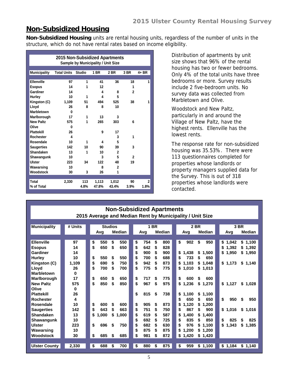#### **Non-Subsidized Housing**

**Non-Subsidized Housing** units are rental housing units, regardless of the number of units in the structure, which do not have rental rates based on income eligibility.

|                     | 2015 Non-Subsidized Apartments | <b>Sample by Municipality / Unit Size</b> |       |                |              |              |
|---------------------|--------------------------------|-------------------------------------------|-------|----------------|--------------|--------------|
| <b>Municipality</b> | <b>Total Units</b>             | <b>Studio</b>                             | 1 BR  | 2 BR           | 3 BR         | $4 + BR$     |
|                     |                                |                                           |       |                |              |              |
| Ellenville          | 97                             | 1                                         | 41    | 36             | 18           | 1            |
| <b>Esopus</b>       | 14                             | 1                                         | 12    |                | 1            |              |
| Gardiner            | 14                             |                                           | 4     | 8              | $\mathbf{2}$ |              |
| Hurley              | 10                             | 1                                         | 4     | 5              |              |              |
| Kingston (C)        | 1.109                          | 51                                        | 494   | 525            | 38           | 1            |
| Lloyd               | 26                             | 8                                         | 8     | 10             |              |              |
| <b>Marbletown</b>   | 0                              |                                           |       |                |              |              |
| Marlborough         | 17                             | 1                                         | 13    | 3              |              |              |
| <b>New Paltz</b>    | 575                            | 1                                         | 265   | 303            | 6            |              |
| Olive               | 0                              |                                           |       |                |              |              |
| <b>Plattekill</b>   | 26                             |                                           | 9     | 17             |              |              |
| Rochester           | $\overline{\mathbf{4}}$        |                                           |       | 3              | 1            |              |
| Rosendale           | 10                             | 1                                         | 4     | 5              |              |              |
| <b>Saugerties</b>   | 142                            | 10                                        | 90    | 39             | 3            |              |
| Shandaken           | 13                             | 1                                         | 10    | $\mathbf{2}$   |              |              |
| Shawangunk          | 10                             |                                           | 3     | 5              | $\mathbf{2}$ |              |
| <b>Ulster</b>       | 223                            | 34                                        | 122   | 48             | 19           |              |
| Wawarsing           | 10                             |                                           | 8     | $\overline{2}$ |              |              |
| Woodstock           | 30                             | 3                                         | 26    | 1              |              |              |
|                     |                                |                                           |       |                |              |              |
| <b>Total</b>        | 2,330                          | 113                                       | 1,113 | 1.012          | 90           | $\mathbf{2}$ |
| % of Total          |                                | 4.8%                                      | 47.8% | 43.4%          | 3.9%         | 1.8%         |

Distribution of apartments by unit size shows that 96% of the rental housing has two or fewer bedrooms. Only 4% of the total units have three bedrooms or more. Survey results include 2 five-bedroom units. No survey data was collected from Marbletown and Olive.

Woodstock and New Paltz, particularly in and around the Village of New Paltz, have the highest rents. Ellenville has the lowest rents.

The response rate for non-subsidized housing was 35.53%. There were 113 questionnaires completed for properties whose landlords or property managers supplied data for the Survey. This is out of 318 properties whose landlords were contacted.

|                      | <b>Non-Subsidized Apartments</b> |             |                |    |             |    |               |                                                          |  |  |  |
|----------------------|----------------------------------|-------------|----------------|----|-------------|----|---------------|----------------------------------------------------------|--|--|--|
|                      |                                  |             |                |    |             |    |               | 2015 Average and Median Rent by Municipality / Unit Size |  |  |  |
|                      |                                  |             |                |    |             |    |               |                                                          |  |  |  |
| <b>Municipality</b>  | # Units                          |             | <b>Studios</b> |    | <b>1 BR</b> |    |               | 2 BR<br>3 BR                                             |  |  |  |
|                      |                                  | Avg         | <b>Median</b>  |    | Avg         |    | <b>Median</b> | <b>Median</b><br><b>Median</b><br>Avg<br>Avg             |  |  |  |
|                      |                                  |             |                |    |             |    |               |                                                          |  |  |  |
| <b>Ellenville</b>    | 97                               | \$<br>550   | \$<br>550      | \$ | 754         | \$ | 800           | \$<br>902<br>\$<br>950<br>\$1,042<br>\$1,100             |  |  |  |
| <b>Esopus</b>        | 14                               | \$<br>650   | \$<br>650      | \$ | 642         | \$ | 828           | \$<br>1.392<br>\$1,392                                   |  |  |  |
| Gardiner             | 14                               |             |                | \$ | 900         | \$ | 900           | \$1,438<br>\$<br>1,950<br>\$1,950<br>\$<br>1.500         |  |  |  |
| <b>Hurley</b>        | 10                               | \$<br>550   | 550<br>\$      | \$ | 700         | S  | 688           | 650<br>733<br>\$<br>S                                    |  |  |  |
| Kingston (C)         | 1,109                            | \$<br>690   | 750<br>\$      | \$ | 942         | \$ | 873           | 1.103<br>\$1.173<br>\$<br>\$<br>1.048<br>\$1,140         |  |  |  |
| Lloyd                | 26                               | \$<br>700   | \$<br>700      | \$ | 775         | \$ | 775           | \$<br>\$<br>1,010<br>1,013                               |  |  |  |
| Marbletown           | 0                                |             |                |    |             |    |               |                                                          |  |  |  |
| Marlborough          | 17                               | \$<br>650   | 650<br>\$      | \$ | 717         | \$ | 775           | \$<br>600<br>600<br>\$                                   |  |  |  |
| <b>New Paltz</b>     | 575                              | \$<br>850   | \$<br>850      | \$ | 967         | \$ | 975           | \$<br>1,236<br>\$<br>\$1,127<br>\$1,028<br>1,270         |  |  |  |
| Olive                | 0                                |             |                |    |             |    |               |                                                          |  |  |  |
| <b>Plattekill</b>    | 26                               |             |                | \$ | 815         | \$ | 738           | \$<br>1.100<br>\$<br>1.100                               |  |  |  |
| <b>Rochester</b>     | 4                                |             |                |    |             |    |               | \$<br>\$<br>650<br>\$<br>650<br>950<br>\$<br>950         |  |  |  |
| Rosendale            | 10                               | \$<br>600   | \$<br>600      | \$ | 905         | \$ | 873           | \$<br>1.120<br>1.200<br>S                                |  |  |  |
| <b>Saugerties</b>    | 142                              | \$<br>643   | \$<br>663      | \$ | 751         | \$ | 750           | \$<br>867<br>900<br>\$1.016<br>\$<br>\$1,016             |  |  |  |
| <b>Shandaken</b>     | 13                               | \$<br>1,000 | \$<br>1,000    | \$ | 619         | \$ | 587           | \$<br>1.400<br>\$<br>1.400                               |  |  |  |
| Shawangunk           | 10                               |             |                | \$ | 692         | S  | 725           | \$<br>835<br>850<br>\$<br>825<br>825<br>\$<br>\$.        |  |  |  |
| Ulster               | 223                              | \$<br>696   | 750<br>\$      | \$ | 682         | \$ | 630           | \$<br>976<br>\$<br>1,343<br>1.100<br>\$<br>S<br>1,385    |  |  |  |
| Wawarsing            | 10                               |             |                | \$ | 875         | \$ | 875           | \$<br>1.200<br>\$<br>1,200                               |  |  |  |
| <b>Woodstock</b>     | 30                               | \$<br>685   | 685<br>S       | \$ | 981         | S  | 872           | 1,420<br>1,420<br>\$<br>\$                               |  |  |  |
|                      |                                  |             |                |    |             |    |               |                                                          |  |  |  |
| <b>Ulster County</b> | 2.330                            | \$<br>688   | 700<br>\$      | \$ | 880         | \$ | 875           | \$<br>959<br>\$1,184<br>\$1,100<br>\$1,140               |  |  |  |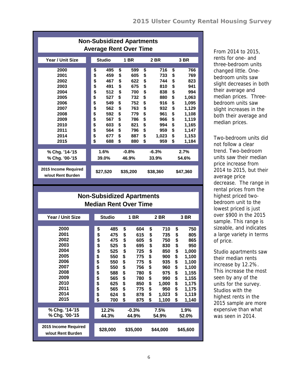|                                                                                                              | <b>Non-Subsidized Apartments</b><br><b>Average Rent Over Time</b>                                                                                                                  |                                                                                                                                                                                    |                                                                                                                                                                                      |                                                                                                                                                                                                      |
|--------------------------------------------------------------------------------------------------------------|------------------------------------------------------------------------------------------------------------------------------------------------------------------------------------|------------------------------------------------------------------------------------------------------------------------------------------------------------------------------------|--------------------------------------------------------------------------------------------------------------------------------------------------------------------------------------|------------------------------------------------------------------------------------------------------------------------------------------------------------------------------------------------------|
| Year / Unit Size                                                                                             | <b>Studio</b>                                                                                                                                                                      | <b>1 BR</b>                                                                                                                                                                        | <b>2 BR</b>                                                                                                                                                                          | 3 BR                                                                                                                                                                                                 |
| 2000<br>2001<br>2002<br>2003<br>2004<br>2005<br>2006<br>2007<br>2008<br>2009<br>2010<br>2011<br>2014<br>2015 | \$<br>495<br>\$<br>459<br>\$<br>467<br>\$<br>491<br>\$<br>512<br>\$<br>527<br>\$<br>549<br>\$<br>562<br>\$<br>592<br>\$<br>567<br>\$<br>603<br>\$<br>564<br>\$<br>677<br>\$<br>688 | \$<br>599<br>\$<br>605<br>\$<br>622<br>\$<br>675<br>\$<br>700<br>\$<br>732<br>\$<br>752<br>\$<br>763<br>\$<br>779<br>\$<br>786<br>\$<br>821<br>\$<br>796<br>\$<br>887<br>\$<br>880 | \$<br>716<br>\$<br>733<br>\$<br>744<br>\$<br>810<br>\$<br>838<br>\$<br>880<br>\$<br>916<br>\$<br>932<br>\$<br>961<br>\$<br>966<br>\$<br>994<br>\$<br>959<br>\$<br>1,023<br>\$<br>959 | \$<br>766<br>\$<br>769<br>\$<br>823<br>\$<br>941<br>\$<br>994<br>\$<br>1,063<br>\$<br>1,095<br>\$<br>1,129<br>\$<br>1,108<br>\$<br>1,119<br>\$<br>1,165<br>\$<br>1,147<br>\$<br>1,153<br>\$<br>1,184 |
| % Chg. '14-'15<br>% Chg. '00-'15                                                                             | 1.6%<br>39.0%                                                                                                                                                                      | $-0.8%$<br>46.9%                                                                                                                                                                   | $-6.3%$<br>33.9%                                                                                                                                                                     | 2.7%<br>54.6%                                                                                                                                                                                        |
| 2015 Income Required<br>w/out Rent Burden                                                                    | \$27,520                                                                                                                                                                           | \$35,200                                                                                                                                                                           | \$38,360                                                                                                                                                                             | \$47,360                                                                                                                                                                                             |

| From 2014 to 2015,       |
|--------------------------|
| rents for one- and       |
| three-bedroom units      |
| changed little. One-     |
| bedroom units saw        |
| slight decreases in both |
| their average and        |
| median prices. Three-    |
| bedroom units saw        |
| slight increases in the  |
|                          |
| both their average and   |

Two-bedroom units did not follow a clear trend. Two-bedroom units saw their median price increase from 2014 to 2015, but their average price decrease. The range in rental prices from the highest priced twobedroom unit to the lowest priced is just over \$900 in the 2015 sample. This range is sizeable, and indicates a large variety in terms of price.

Studio apartments saw their median rents increase by 12.2%. This increase the most seen by any of the units for the survey. Studios with the highest rents in the 2015 sample are more expensive than what was seen in 2014.

|                                           |          | <b>Non-Subsidized Apartments</b> |           |             |             |
|-------------------------------------------|----------|----------------------------------|-----------|-------------|-------------|
|                                           |          | <b>Median Rent Over Time</b>     |           |             |             |
|                                           |          |                                  |           |             |             |
| Year / Unit Size                          |          | <b>Studio</b>                    | 1 BR      | 2 BR        | 3 BR        |
|                                           |          |                                  |           |             |             |
| 2000                                      | \$       | 485                              | \$<br>604 | \$<br>710   | \$<br>750   |
| 2001                                      | \$       | 475                              | \$<br>615 | \$<br>735   | \$<br>805   |
| 2002                                      | \$       | 475                              | \$<br>605 | \$<br>750   | \$<br>865   |
| 2003                                      | \$<br>\$ | 525                              | \$<br>695 | \$<br>830   | \$<br>950   |
| 2004                                      |          | 525                              | \$<br>725 | \$<br>850   | \$<br>1,000 |
| 2005                                      | \$       | 550                              | \$<br>775 | \$<br>900   | \$<br>1,100 |
| 2006                                      | \$<br>\$ | 550                              | \$<br>775 | \$<br>935   | \$<br>1,100 |
| 2007                                      |          | 550                              | \$<br>756 | \$<br>960   | \$<br>1,100 |
| 2008                                      |          | 588                              | \$<br>780 | \$<br>975   | \$<br>1,155 |
| 2009                                      | \$\$     | 565                              | \$<br>780 | \$<br>990   | \$<br>1,155 |
| 2010                                      |          | 625                              | \$<br>850 | \$<br>1,000 | \$<br>1,175 |
| 2011                                      |          | 565                              | \$<br>775 | \$<br>950   | \$<br>1,175 |
| 2014                                      | \$       | 624                              | \$<br>878 | \$<br>1,023 | \$<br>1,119 |
| 2015                                      | \$       | 700                              | \$<br>875 | \$<br>1,100 | \$<br>1,140 |
| % Chg. '14-'15                            |          |                                  |           |             |             |
|                                           |          | 12.2%                            | $-0.3\%$  | 7.5%        | 1.9%        |
| % Chg. '00-'15                            |          | 44.3%                            | 44.9%     | 54.9%       | 52.0%       |
| 2015 Income Required<br>w/out Rent Burden |          | \$28,000                         | \$35,000  | \$44,000    | \$45,600    |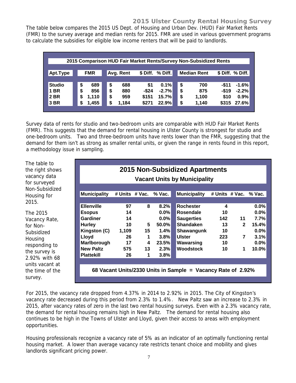#### **2015 Ulster County Rental Housing Survey**

The table below compares the 2015 US Dept. of Housing and Urban Dev. (HUD) Fair Market Rents (FMR) to the survey average and median rents for 2015. FMR are used in various government programs to calculate the subsidies for eligible low income renters that will be paid to landlords.

|               |    |            | 2015 Comparison HUD Fair Market Rents/Survey Non-Subsidized Rents |          |                 |    |                    |          |                  |
|---------------|----|------------|-------------------------------------------------------------------|----------|-----------------|----|--------------------|----------|------------------|
|               |    |            |                                                                   |          |                 |    |                    |          |                  |
| Apt.Type      |    | <b>FMR</b> | Avg. Rent                                                         |          | \$Diff. % Diff. |    | <b>Median Rent</b> |          | \$ Diff. % Diff. |
|               |    |            |                                                                   |          |                 |    |                    |          |                  |
| <b>Studio</b> | \$ | 689        | \$<br>688                                                         | \$1      | 0.1%            | \$ | 700                | -\$11    | $-1.6%$          |
| <b>BR</b>     | \$ | 856        | \$<br>880                                                         | $-$ \$24 | $-2.7%$         | \$ | 875                | $-$ \$19 | $-2.2%$          |
| 2 BR          | S  | 1,110      | \$<br>959                                                         | \$151    | 15.7%           | \$ | 1,100              | \$10     | 0.9%             |
| 3 BR          | S  | 1,455      | \$<br>1,184                                                       | \$271    | 22.9%           | \$ | 1,140              | \$315    | 27.6%            |
|               |    |            |                                                                   |          |                 |    |                    |          |                  |

Survey data of rents for studio and two-bedroom units are comparable with HUD Fair Market Rents (FMR). This suggests that the demand for rental housing in Ulster County is strongest for studio and one-bedroom units. Two and three-bedroom units have rents lower than the FMR, suggesting that the demand for them isn't as strong as smaller rental units, or given the range in rents found in this report, a methodology issue in sampling.

The table to the right shows vacancy data for surveyed Non-Subsidized Housing for 2015.

The 2015 Vacancy Rate, for Non-Subsidized Housing responding to the survey is 2.92% with 68 units vacant at the time of the survey.

| <b>Vacant Units by Municipality</b> |       |                |          |                     |     |                          |         |  |  |  |  |  |
|-------------------------------------|-------|----------------|----------|---------------------|-----|--------------------------|---------|--|--|--|--|--|
| <b>Municipality</b>                 |       | # Units # Vac. | $%$ Vac. | <b>Municipality</b> |     | # Units # Vac. % Vac.    |         |  |  |  |  |  |
| <b>Ellenville</b>                   | 97    | 8              | 8.2%     | <b>Rochester</b>    | 4   |                          | $0.0\%$ |  |  |  |  |  |
| <b>Esopus</b>                       | 14    |                | $0.0\%$  | <b>Rosendale</b>    | 10  |                          | $0.0\%$ |  |  |  |  |  |
| Gardiner                            | 14    |                | $0.0\%$  | <b>Saugerties</b>   | 142 | 11                       | 7.7%    |  |  |  |  |  |
| <b>Hurley</b>                       | 10    | 5              | $50.0\%$ | <b>Shandaken</b>    | 13  | $2^{\circ}$              | 15.4%   |  |  |  |  |  |
| Kingston (C)                        | 1,109 | 15             | 1.4%     | Shawangunk          | 10  |                          | $0.0\%$ |  |  |  |  |  |
| Lloyd                               | 26    | 1              | 3.8%     | <b>Ulster</b>       | 223 | $\overline{\phantom{a}}$ | 3.1%    |  |  |  |  |  |
| Marlborough                         | 17    | 4              | 23.5%    | Wawarsing           | 10  |                          | $0.0\%$ |  |  |  |  |  |
| <b>New Paltz</b>                    | 575   | 13             | 2.3%     | <b>Woodstock</b>    | 10  | 1                        | 10.0%   |  |  |  |  |  |
| <b>Plattekill</b>                   | 26    | 1              | 3.8%     |                     |     |                          |         |  |  |  |  |  |

For 2015, the vacancy rate dropped from 4.37% in 2014 to 2.92% in 2015. The City of Kingston's vacancy rate decreased during this period from 2.3% to 1.4%. New Paltz saw an increase to 2.3% in 2015, after vacancy rates of zero in the last two rental housing surveys. Even with a 2.3% vacancy rate, the demand for rental housing remains high in New Paltz. The demand for rental housing also continues to be high in the Towns of Ulster and Lloyd, given their access to areas with employment opportunities.

Housing professionals recognize a vacancy rate of 5% as an indicator of an optimally functioning rental housing market. A lower than average vacancy rate restricts tenant choice and mobility and gives landlords significant pricing power.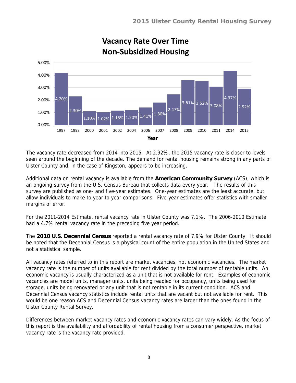

# **Vacancy Rate Over Time Non-Subsidized Housing**

The vacancy rate decreased from 2014 into 2015. At 2.92%, the 2015 vacancy rate is closer to levels seen around the beginning of the decade. The demand for rental housing remains strong in any parts of Ulster County and, in the case of Kingston, appears to be increasing.

Additional data on rental vacancy is available from the **American Community Survey** (ACS), which is an ongoing survey from the U.S. Census Bureau that collects data every year. The results of this survey are published as one- and five-year estimates. One-year estimates are the least accurate, but allow individuals to make to year to year comparisons. Five-year estimates offer statistics with smaller margins of error.

For the 2011-2014 Estimate, rental vacancy rate in Ulster County was 7.1%. The 2006-2010 Estimate had a 4.7% rental vacancy rate in the preceding five year period.

The **2010 U.S. Decennial Census** reported a rental vacancy rate of 7.9% for Ulster County. It should be noted that the Decennial Census is a physical count of the entire population in the United States and not a statistical sample.

All vacancy rates referred to in this report are market vacancies, not economic vacancies. The market vacancy rate is the number of units available for rent divided by the total number of rentable units. An economic vacancy is usually characterized as a unit that is not available for rent. Examples of economic vacancies are model units, manager units, units being readied for occupancy, units being used for storage, units being renovated or any unit that is not rentable in its current condition. ACS and Decennial Census vacancy statistics include rental units that are vacant but not available for rent. This would be one reason ACS and Decennial Census vacancy rates are larger than the ones found in the Ulster County Rental Survey.

Differences between market vacancy rates and economic vacancy rates can vary widely. As the focus of this report is the availability and affordability of rental housing from a consumer perspective, market vacancy rate is the vacancy rate provided.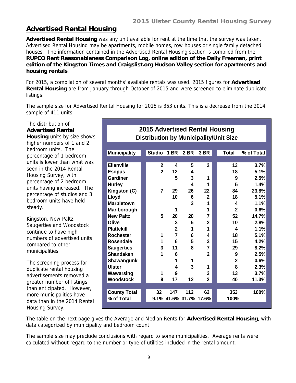#### **Advertised Rental Housing**

**Advertised Rental Housing** was any unit available for rent at the time that the survey was taken. Advertised Rental Housing may be apartments, mobile homes, row houses or single family detached houses. The information contained in the Advertised Rental Housing section is compiled from the **RUPCO Rent Reasonableness Comparison Log, online edition of the Daily Freeman, print edition of the Kingston Times and Craigslist.org Hudson Valley section for apartments and housing rentals**.

For 2015, a compilation of several months' available rentals was used. 2015 figures for **Advertised Rental Housing** are from January through October of 2015 and were screened to eliminate duplicate listings.

The sample size for Advertised Rental Housing for 2015 is 353 units. This is a decrease from the 2014 sample of 411 units.

The distribution of **Advertised Rental Housing** units by size shows higher numbers of 1 and 2 bedroom units. The percentage of 1 bedroom units is lower than what was seen in the 2014 Rental Housing Survey, with percentage of 2 bedroom units having increased. The percentage of studios and 3 bedroom units have held steady.

Kingston, New Paltz, Saugerties and Woodstock continue to have high numbers of advertised units compared to other municipalities.

The screening process for duplicate rental housing advertisements removed a greater number of listings than anticipated. However, more municipalities have data than in the 2014 Rental Housing Survey.

| 2015 Advertised Rental Housing                |                |                |                        |                |  |                |            |  |  |
|-----------------------------------------------|----------------|----------------|------------------------|----------------|--|----------------|------------|--|--|
| <b>Distribution by Municipality/Unit Size</b> |                |                |                        |                |  |                |            |  |  |
|                                               |                |                |                        |                |  |                |            |  |  |
| <b>Municipality</b>                           | <b>Studio</b>  | <b>1 BR</b>    | <b>2 BR</b>            | 3 BR           |  | <b>Total</b>   | % of Total |  |  |
|                                               |                |                |                        |                |  |                |            |  |  |
| <b>Ellenville</b>                             | $\mathbf{2}$   | 4              | 5                      | $\mathbf{2}$   |  | 13             | 3.7%       |  |  |
| <b>Esopus</b>                                 | $\overline{2}$ | 12             | 4                      |                |  | 18             | 5.1%       |  |  |
| Gardiner                                      |                | 5              | 3                      | 1              |  | 9              | 2.5%       |  |  |
| <b>Hurley</b>                                 |                |                | 4                      | 1              |  | 5              | 1.4%       |  |  |
| Kingston (C)                                  | $\overline{7}$ | 29             | 26                     | 22             |  | 84             | 23.8%      |  |  |
| Lloyd                                         |                | 10             | 6                      | $\mathbf{2}$   |  | 18             | 5.1%       |  |  |
| <b>Marbletown</b>                             |                |                | 3                      | 1              |  | 4              | 1.1%       |  |  |
| Marlborough                                   |                | 1              |                        | 1              |  | $\mathbf{2}$   | 0.6%       |  |  |
| <b>New Paltz</b>                              | 5              | 20             | 20                     | 7              |  | 52             | 14.7%      |  |  |
| Olive                                         |                | 3              | 5                      | $\mathbf{2}$   |  | 10             | 2.8%       |  |  |
| <b>Plattekill</b>                             |                | $\overline{2}$ | 1                      | 1              |  | 4              | 1.1%       |  |  |
| <b>Rochester</b>                              | 1              | 7              | 6                      | 4              |  | 18             | 5.1%       |  |  |
| <b>Rosendale</b>                              | 1              | 6              | 5                      | 3              |  | 15             | 4.2%       |  |  |
| <b>Saugerties</b>                             | 3              | 11             | 8                      | 7              |  | 29             | 8.2%       |  |  |
| <b>Shandaken</b>                              | 1              | 6              |                        | $\overline{2}$ |  | 9              | 2.5%       |  |  |
| Shawangunk                                    |                | 1              | 1                      |                |  | $\overline{2}$ | 0.6%       |  |  |
| <b>Ulster</b>                                 |                | 4              | 3                      | 1              |  | 8              | 2.3%       |  |  |
| Wawarsing                                     | 1              | 9              |                        | 3              |  | 13             | 3.7%       |  |  |
| Woodstock                                     | 9              | 17             | 12                     | $\overline{2}$ |  | 40             | 11.3%      |  |  |
|                                               |                |                |                        |                |  |                |            |  |  |
| <b>County Total</b>                           | 32             | 147            | 112                    | 62             |  | 353            | 100%       |  |  |
| % of Total                                    |                |                | 9.1% 41.6% 31.7% 17.6% |                |  | 100%           |            |  |  |

The table on the next page gives the Average and Median Rents for **Advertised Rental Housing**, with data categorized by municipality and bedroom count.

The sample size may preclude conclusions with regard to some municipalities. Average rents were calculated without regard to the number or type of utilities included in the rental amount.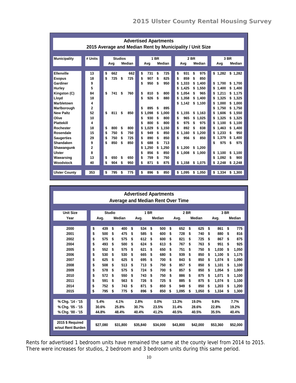| <b>Advertised Apartments</b>                             |                |                |           |                                |                            |                            |  |  |
|----------------------------------------------------------|----------------|----------------|-----------|--------------------------------|----------------------------|----------------------------|--|--|
| 2015 Average and Median Rent by Municipality / Unit Size |                |                |           |                                |                            |                            |  |  |
|                                                          |                |                |           |                                |                            |                            |  |  |
| <b>Municipality</b>                                      | # Units        | <b>Studios</b> |           | <b>1 BR</b>                    | 2 BR                       | 3 BR                       |  |  |
|                                                          |                | Avg            | Median    | Median<br>Avg                  | Median<br>Avg              | Median<br>Avg              |  |  |
|                                                          |                |                |           |                                |                            |                            |  |  |
| <b>Ellenville</b>                                        | 13             | \$<br>662      | 662       | \$<br>731<br>\$<br>725         | \$<br>\$<br>975<br>931     | \$1,282<br>\$1,282         |  |  |
| <b>Esopus</b>                                            | 18             | \$<br>725      | \$<br>725 | \$<br>\$<br>825<br>907         | \$<br>859<br>850<br>\$     |                            |  |  |
| Gardiner                                                 | 9              |                |           | \$<br>950<br>\$<br>950         | \$<br>1.333<br>\$<br>1.400 | \$<br>1.700<br>\$1,700     |  |  |
| Hurley                                                   | 5              |                |           |                                | \$<br>1.425<br>\$1.550     | 1.400<br>\$1.400<br>\$     |  |  |
| Kingston (C)                                             | 84             | \$<br>741      | \$<br>760 | \$<br>810<br>\$<br>800         | 1.054<br>965<br>\$<br>\$   | 1.211<br>\$1.175<br>\$     |  |  |
| Lloyd                                                    | 18             |                |           | \$<br>926<br>\$<br>880         | 1.358<br>\$<br>\$<br>1.400 | \$<br>1.325<br>\$1.325     |  |  |
| Marbletown                                               | 4              |                |           |                                | \$1,142<br>\$<br>1,100     | 1,000<br>\$1.000<br>\$     |  |  |
| Marlborough                                              | $\overline{2}$ |                |           | \$<br>895<br>\$<br>895         |                            | \$1.750<br>\$<br>1.750     |  |  |
| <b>New Paltz</b>                                         | 52             | \$<br>811      | \$<br>850 | .098<br>1.000<br>\$<br>\$<br>1 | \$<br>1.155<br>\$1.163     | \$1.550<br>\$<br>1.606     |  |  |
| Olive                                                    | 10             |                |           | \$<br>\$<br>800<br>930         | \$<br>965<br>\$<br>1.025   | \$<br>1.325<br>\$1.325     |  |  |
| <b>Plattekill</b>                                        | 4              |                |           | 800<br>\$<br>800<br>\$         | \$<br>\$<br>975<br>975     | \$<br>1,100<br>\$1.100     |  |  |
| Rochester                                                | 18             | \$<br>800      | \$<br>800 | \$<br>1.029<br>\$<br>1,150     | \$<br>892<br>838<br>\$     | 1,463<br>\$1.400<br>\$     |  |  |
| Rosendale                                                | 15             | 750<br>\$      | 750<br>\$ | 850<br>\$<br>949<br>\$         | \$<br>1.160<br>1.200<br>\$ | 950<br>1.233<br>\$<br>\$   |  |  |
| <b>Saugerties</b>                                        | 29             | \$<br>750      | 725<br>\$ | 850<br>\$<br>890<br>\$         | \$<br>956<br>850<br>\$     | 1.379<br>1.400<br>\$<br>\$ |  |  |
| Shandaken                                                | 9              | \$<br>850      | \$<br>850 | \$<br>688<br>\$<br>713         |                            | \$<br>975<br>\$<br>975     |  |  |
| Shawangunk                                               | $\mathbf{2}$   |                |           | \$<br>1.250<br>1.250<br>\$     | \$1,200<br>\$1.200         |                            |  |  |
| Ulster                                                   | 8              |                |           | 856<br>\$<br>\$<br>850         | \$1.008<br>\$1,000         | \$<br>1.100<br>\$<br>1.100 |  |  |
| Wawarsing                                                | 13             | \$<br>650      | \$<br>650 | 750<br>\$<br>759<br>\$         |                            | \$<br>1.092<br>\$<br>900   |  |  |
| Woodstock                                                | 40             | \$<br>904      | \$<br>950 | \$<br>871<br>875<br>\$         | \$1.158<br>\$1,075         | \$<br>2.248<br>\$2,248     |  |  |
|                                                          |                |                |           |                                |                            |                            |  |  |
| <b>Ulster County</b>                                     | 353            | \$<br>795      | 775<br>\$ | \$<br>896<br>\$<br>850         | \$1,095<br>\$1,050         | \$1,334<br>\$1.300         |  |  |
|                                                          |                |                |           |                                |                            |                            |  |  |

| <b>Advertised Apartments</b>             |    |          |               |               |             |          |    |          |    |          |      |          |    |          |    |          |
|------------------------------------------|----|----------|---------------|---------------|-------------|----------|----|----------|----|----------|------|----------|----|----------|----|----------|
| <b>Average and Median Rent Over Time</b> |    |          |               |               |             |          |    |          |    |          |      |          |    |          |    |          |
|                                          |    |          |               |               |             |          |    |          |    |          |      |          |    |          |    |          |
| <b>Unit Size</b>                         |    |          | <b>Studio</b> |               | <b>1 BR</b> |          |    | 2 BR     |    |          | 3 BR |          |    |          |    |          |
| Year                                     |    | Avg.     |               | <b>Median</b> |             | Avg.     |    | Median   |    | Avg.     |      | Median   |    | Avg.     |    | Median   |
|                                          |    |          |               |               |             |          |    |          |    |          |      |          |    |          |    |          |
| 2000                                     | \$ | 439      | \$            | 400           | \$          | 534      | \$ | 500      | \$ | 652      | \$   | 625      | \$ | 861      | \$ | 775      |
| 2001                                     | \$ | 500      | \$            | 475           | \$          | 585      | \$ | 600      | \$ | 728      | \$   | 740      | \$ | 880      | \$ | 816      |
| 2002                                     | \$ | 575      | \$            | 575           | \$          | 612      | \$ | 600      | \$ | 821      | \$   | 725      | \$ | 867      | \$ | 875      |
| 2004                                     | \$ | 493      | \$            | 500           | \$          | 624      | \$ | 613      | \$ | 767      | \$   | 763      | \$ | 951      | \$ | 925      |
| 2005                                     | \$ | 552      | \$            | 575           | \$          | 621      | \$ | 650      | \$ | 751      | \$   | 750      | \$ | 1.030    | \$ | 1,050    |
| 2006                                     | \$ | 530      | \$            | 530           | \$          | 665      | \$ | 680      | \$ | 939      | \$   | 850      | \$ | 1.100    | \$ | 1,175    |
| 2007                                     | \$ | 625      | \$            | 625           | \$          | 695      | \$ | 700      | \$ | 843      | \$   | 850      | \$ | 1.074    | \$ | 1,090    |
| 2008                                     | \$ | 508      | \$            | 513           | \$          | 713      | \$ | 750      | \$ | 857      | \$   | 850      | \$ | 1,101    | \$ | 1,100    |
| 2009                                     | \$ | 578      | \$            | 575           | \$          | 724      | \$ | 700      | \$ | 857      | \$   | 850      | \$ | 1.054    | \$ | 1.000    |
| 2010                                     | \$ | 572      | \$            | 550           | \$          | 743      | \$ | 750      | \$ | 886      | \$   | 875      | \$ | 1,071    | S  | 1,100    |
| 2011                                     | \$ | 591      | \$            | 563           | \$          | 726      | \$ | 725      | \$ | 885      | \$   | 875      | \$ | 1.074    | \$ | 1,100    |
| 2014                                     | \$ | 752      | \$            | 743           | \$          | 871      | \$ | 850      | \$ | 949      | \$   | 850      | \$ | 1.203    | \$ | 1,200    |
| 2015                                     | \$ | 795      | \$            | 775           | \$          | 896      | \$ | 850      | \$ | 1.095    | \$   | 1,050    | \$ | 1,334    | \$ | 1,300    |
|                                          |    |          |               |               |             |          |    |          |    |          |      |          |    |          |    |          |
| % Chg. '14 - '15                         |    | 5.4%     |               | 4.1%          |             | 2.8%     |    | 0.0%     |    | 13.3%    |      | 19.0%    |    | 9.8%     |    | 7.7%     |
| % Chg. '05 - '15                         |    | 30.6%    |               | 25.8%         |             | 30.7%    |    | 23.5%    |    | 31.4%    |      | 28.6%    |    | 22.8%    |    | 19.2%    |
| % Chg. '00 - '15                         |    | 44.8%    |               | 48.4%         |             | 40.4%    |    | 41.2%    |    | 40.5%    |      | 40.5%    |    | 35.5%    |    | 40.4%    |
|                                          |    |          |               |               |             |          |    |          |    |          |      |          |    |          |    |          |
| 2015 \$ Required<br>w/out Rent Burden    |    | \$27,080 |               | \$31,800      |             | \$35,840 |    | \$34,000 |    | \$43.800 |      | \$42,000 |    | \$53,360 |    | \$52,000 |
|                                          |    |          |               |               |             |          |    |          |    |          |      |          |    |          |    |          |

Rents for advertised 1 bedroom units have remained the same at the county level from 2014 to 2015. There were increases for studios, 2 bedroom and 3 bedroom units during this same period.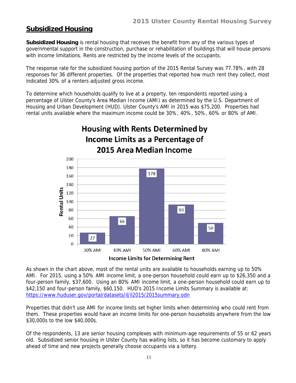#### **Subsidized Housing**

**Subsidized Housing** is rental housing that receives the benefit from any of the various types of governmental support in the construction, purchase or rehabilitation of buildings that will house persons with income limitations. Rents are restricted by the income levels of the occupants.

The response rate for the subsidized housing portion of the 2015 Rental Survey was 77.78%, with 28 responses for 36 different properties. Of the properties that reported how much rent they collect, most indicated 30% of a renters adjusted gross income.

To determine which households qualify to live at a property, ten respondents reported using a percentage of Ulster County's Area Median Income (AMI) as determined by the U.S. Department of Housing and Urban Development (HUD). Ulster County's AMI in 2015 was \$75,200. Properties had rental units available where the maximum income could be 30%, 40%, 50%, 60% or 80% of AMI.



**Income Limits for Determining Rent** 

As shown in the chart above, most of the rental units are available to households earning up to 50% AMI. For 2015, using a 50% AMI income limit, a one-person household could earn up to \$26,350 and a four-person family, \$37,600. Using an 80% AMI income limit, a one-person household could earn up to \$42,150 and four-person family, \$60,150. HUD's 2015 Income Limits Summary is available at: https://www.huduser.gov/portal/datasets/il/il2015/2015summary.odn

Properties that didn't use AMI for income limits set higher limits when determining who could rent from them. These properties would have an income limits for one-person households anywhere from the low \$30,000s to the low \$40,000s.

Of the respondents, 13 are senior housing complexes with minimum-age requirements of 55 or 62 years old. Subsidized senior housing in Ulster County has waiting lists, so it has become customary to apply ahead of time and new projects generally choose occupants via a lottery.